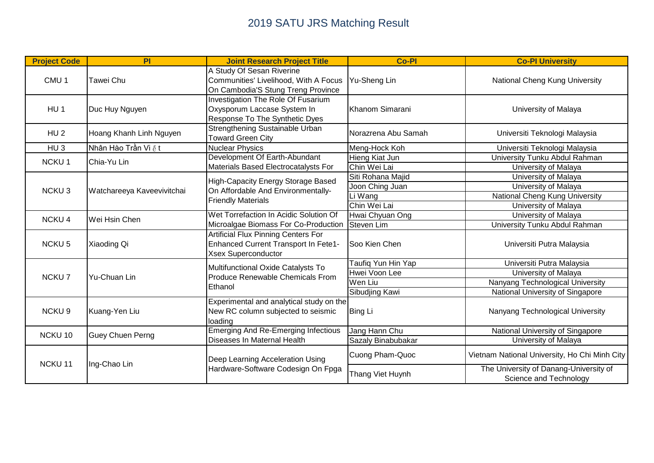| <b>Project Code</b> | PI                             | <b>Joint Research Project Title</b>                                                                              | <b>Co-Pl</b>        | <b>Co-PI University</b>                                          |
|---------------------|--------------------------------|------------------------------------------------------------------------------------------------------------------|---------------------|------------------------------------------------------------------|
| CMU <sub>1</sub>    | Tawei Chu                      | A Study Of Sesan Riverine<br>Communities' Livelihood, With A Focus<br>On Cambodia'S Stung Treng Province         | Yu-Sheng Lin        | National Cheng Kung University                                   |
| HU <sub>1</sub>     | Duc Huy Nguyen                 | Investigation The Role Of Fusarium<br>Oxysporum Laccase System In<br>Response To The Synthetic Dyes              | Khanom Simarani     | University of Malaya                                             |
| HU <sub>2</sub>     | Hoang Khanh Linh Nguyen        | Strengthening Sustainable Urban<br><b>Toward Green City</b>                                                      | Norazrena Abu Samah | Universiti Teknologi Malaysia                                    |
| HU <sub>3</sub>     | Nhân Hào Trần Vi $\tilde{e}$ t | <b>Nuclear Physics</b>                                                                                           | Meng-Hock Koh       | Universiti Teknologi Malaysia                                    |
| <b>NCKU1</b>        | Chia-Yu Lin                    | Development Of Earth-Abundant                                                                                    | Hieng Kiat Jun      | University Tunku Abdul Rahman                                    |
|                     |                                | Materials Based Electrocatalysts For                                                                             | Chin Wei Lai        | University of Malaya                                             |
|                     |                                |                                                                                                                  | Siti Rohana Majid   | University of Malaya                                             |
| <b>NCKU3</b>        | Watchareeya Kaveevivitchai     | <b>High-Capacity Energy Storage Based</b><br>On Affordable And Environmentally-<br><b>Friendly Materials</b>     | Joon Ching Juan     | University of Malaya                                             |
|                     |                                |                                                                                                                  | Li Wang             | National Cheng Kung University                                   |
|                     |                                |                                                                                                                  | Chin Wei Lai        | University of Malaya                                             |
| <b>NCKU4</b>        | Wei Hsin Chen                  | Wet Torrefaction In Acidic Solution Of<br>Microalgae Biomass For Co-Production Steven Lim                        | Hwai Chyuan Ong     | University of Malaya                                             |
|                     |                                |                                                                                                                  |                     | University Tunku Abdul Rahman                                    |
| <b>NCKU5</b>        | Xiaoding Qi                    | <b>Artificial Flux Pinning Centers For</b><br>Enhanced Current Transport In Fete1-<br><b>Xsex Superconductor</b> | Soo Kien Chen       | Universiti Putra Malaysia                                        |
|                     | <b>Yu-Chuan Lin</b>            | Multifunctional Oxide Catalysts To<br>Produce Renewable Chemicals From<br>Ethanol                                | Taufiq Yun Hin Yap  | Universiti Putra Malaysia                                        |
| <b>NCKU7</b>        |                                |                                                                                                                  | Hwei Voon Lee       | University of Malaya                                             |
|                     |                                |                                                                                                                  | Wen Liu             | Nanyang Technological University                                 |
|                     |                                |                                                                                                                  | Sibudjing Kawi      | National University of Singapore                                 |
| <b>NCKU9</b>        | Kuang-Yen Liu                  | Experimental and analytical study on the<br>New RC column subjected to seismic<br>loading                        | Bing Li             | Nanyang Technological University                                 |
| NCKU 10             | <b>Guey Chuen Perng</b>        | <b>Emerging And Re-Emerging Infectious</b><br>Diseases In Maternal Health                                        | Jang Hann Chu       | National University of Singapore                                 |
|                     |                                |                                                                                                                  | Sazaly Binabubakar  | University of Malaya                                             |
| NCKU <sub>11</sub>  | Ing-Chao Lin                   | Deep Learning Acceleration Using<br>Hardware-Software Codesign On Fpga                                           | Cuong Pham-Quoc     | Vietnam National University, Ho Chi Minh City                    |
|                     |                                |                                                                                                                  | Thang Viet Huynh    | The University of Danang-University of<br>Science and Technology |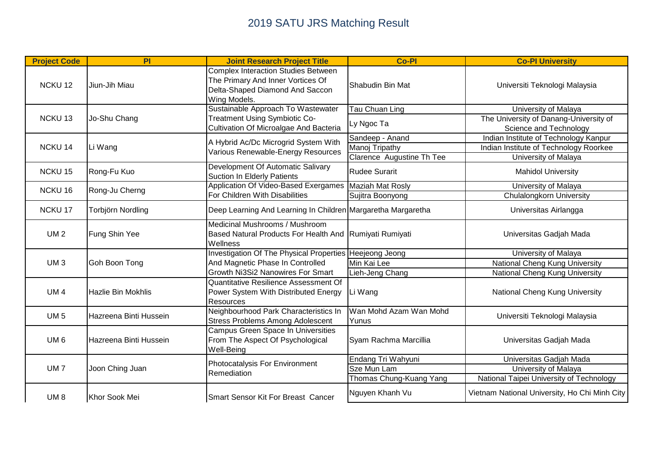| <b>Project Code</b> | PI                     | <b>Joint Research Project Title</b>                                                                                                | <b>Co-Pl</b>                    | <b>Co-PI University</b>                                        |
|---------------------|------------------------|------------------------------------------------------------------------------------------------------------------------------------|---------------------------------|----------------------------------------------------------------|
| <b>NCKU12</b>       | Jiun-Jih Miau          | <b>Complex Interaction Studies Between</b><br>The Primary And Inner Vortices Of<br>Delta-Shaped Diamond And Saccon<br>Wing Models. | Shabudin Bin Mat                | Universiti Teknologi Malaysia                                  |
| <b>NCKU13</b>       | Jo-Shu Chang           | Sustainable Approach To Wastewater<br><b>Treatment Using Symbiotic Co-</b><br>Cultivation Of Microalgae And Bacteria               | <b>Tau Chuan Ling</b>           | University of Malaya<br>The University of Danang-University of |
|                     |                        |                                                                                                                                    | Ly Ngoc Ta                      | Science and Technology                                         |
|                     |                        | A Hybrid Ac/Dc Microgrid System With                                                                                               | Sandeep - Anand                 | Indian Institute of Technology Kanpur                          |
| <b>NCKU14</b>       | Li Wang                | Various Renewable-Energy Resources                                                                                                 | Manoj Tripathy                  | Indian Institute of Technology Roorkee                         |
|                     |                        |                                                                                                                                    | Clarence Augustine Th Tee       | University of Malaya                                           |
| <b>NCKU15</b>       | Rong-Fu Kuo            | Development Of Automatic Salivary<br><b>Suction In Elderly Patients</b>                                                            | <b>Rudee Surarit</b>            | <b>Mahidol University</b>                                      |
| <b>NCKU16</b>       | Rong-Ju Cherng         | Application Of Video-Based Exergames Maziah Mat Rosly                                                                              |                                 | University of Malaya                                           |
|                     |                        | For Children With Disabilities                                                                                                     | Sujitra Boonyong                | <b>Chulalongkorn University</b>                                |
| <b>NCKU17</b>       | Torbjörn Nordling      | Deep Learning And Learning In Children Margaretha Margaretha                                                                       |                                 | Universitas Airlangga                                          |
|                     | Fung Shin Yee          | Medicinal Mushrooms / Mushroom                                                                                                     |                                 | Universitas Gadjah Mada                                        |
| <b>UM2</b>          |                        | Based Natural Products For Health And Rumiyati Rumiyati<br>Wellness                                                                |                                 |                                                                |
|                     | Goh Boon Tong          | Investigation Of The Physical Properties Heejeong Jeong                                                                            |                                 | University of Malaya                                           |
| <b>UM3</b>          |                        | And Magnetic Phase In Controlled                                                                                                   | Min Kai Lee                     | National Cheng Kung University                                 |
|                     |                        | Growth Ni3Si2 Nanowires For Smart                                                                                                  | Lieh-Jeng Chang                 | National Cheng Kung University                                 |
|                     | Hazlie Bin Mokhlis     | Quantitative Resilience Assessment Of                                                                                              | Li Wang                         | National Cheng Kung University                                 |
| UM <sub>4</sub>     |                        | Power System With Distributed Energy                                                                                               |                                 |                                                                |
|                     |                        | Resources                                                                                                                          |                                 |                                                                |
| <b>UM 5</b>         | Hazreena Binti Hussein | Neighbourhood Park Characteristics In                                                                                              | Wan Mohd Azam Wan Mohd<br>Yunus | Universiti Teknologi Malaysia                                  |
|                     |                        | <b>Stress Problems Among Adolescent</b>                                                                                            |                                 |                                                                |
| UM <sub>6</sub>     | Hazreena Binti Hussein | <b>Campus Green Space In Universities</b>                                                                                          | Syam Rachma Marcillia           | Universitas Gadjah Mada                                        |
|                     |                        | From The Aspect Of Psychological<br>Well-Being                                                                                     |                                 |                                                                |
|                     |                        |                                                                                                                                    |                                 |                                                                |
| <b>UM7</b>          | Joon Ching Juan        | Photocatalysis For Environment<br>Remediation                                                                                      | Endang Tri Wahyuni              | Universitas Gadjah Mada                                        |
|                     |                        |                                                                                                                                    | Sze Mun Lam                     | University of Malaya                                           |
|                     |                        |                                                                                                                                    | Thomas Chung-Kuang Yang         | National Taipei University of Technology                       |
| UM <sub>8</sub>     | Khor Sook Mei          | <b>Smart Sensor Kit For Breast Cancer</b>                                                                                          | Nguyen Khanh Vu                 | Vietnam National University, Ho Chi Minh City                  |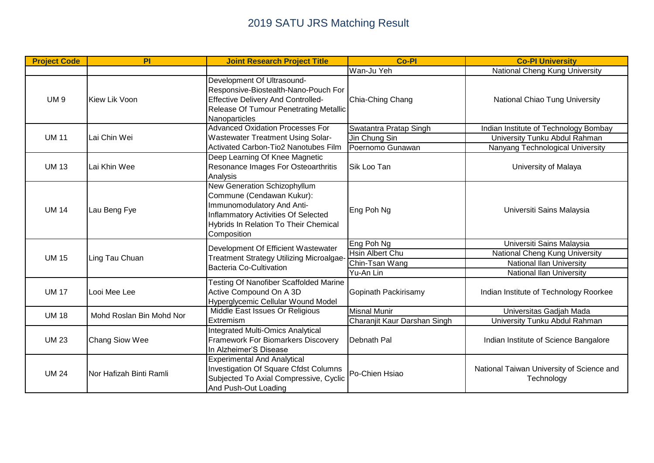| <b>Project Code</b> | PI                               | <b>Joint Research Project Title</b>                                                                                                                                                           | <b>Co-Pl</b>                 | <b>Co-PI University</b>                                 |
|---------------------|----------------------------------|-----------------------------------------------------------------------------------------------------------------------------------------------------------------------------------------------|------------------------------|---------------------------------------------------------|
|                     |                                  |                                                                                                                                                                                               | Wan-Ju Yeh                   | National Cheng Kung University                          |
| <b>UM9</b>          | Kiew Lik Voon                    | Development Of Ultrasound-<br>Responsive-Biostealth-Nano-Pouch For<br><b>Effective Delivery And Controlled-</b><br>Release Of Tumour Penetrating Metallic<br>Nanoparticles                    | Chia-Ching Chang             | National Chiao Tung University                          |
|                     |                                  | <b>Advanced Oxidation Processes For</b>                                                                                                                                                       | Swatantra Pratap Singh       | Indian Institute of Technology Bombay                   |
| <b>UM 11</b>        | Lai Chin Wei                     | <b>Wastewater Treatment Using Solar-</b>                                                                                                                                                      | Jin Chung Sin                | University Tunku Abdul Rahman                           |
|                     |                                  | Activated Carbon-Tio2 Nanotubes Film                                                                                                                                                          | Poernomo Gunawan             | Nanyang Technological University                        |
| <b>UM 13</b>        | Lai Khin Wee                     | Deep Learning Of Knee Magnetic<br>Resonance Images For Osteoarthritis<br>Analysis                                                                                                             | Sik Loo Tan                  | University of Malaya                                    |
| <b>UM 14</b>        | Lau Beng Fye                     | New Generation Schizophyllum<br>Commune (Cendawan Kukur):<br>Immunomodulatory And Anti-<br>Inflammatory Activities Of Selected<br><b>Hybrids In Relation To Their Chemical</b><br>Composition | Eng Poh Ng                   | Universiti Sains Malaysia                               |
|                     | Ling Tau Chuan                   | Development Of Efficient Wastewater<br><b>Treatment Strategy Utilizing Microalgae</b><br>Bacteria Co-Cultivation                                                                              | Eng Poh Ng                   | Universiti Sains Malaysia                               |
| <b>UM 15</b>        |                                  |                                                                                                                                                                                               | <b>Hsin Albert Chu</b>       | National Cheng Kung University                          |
|                     |                                  |                                                                                                                                                                                               | Chin-Tsan Wang               | <b>National Ilan University</b>                         |
|                     |                                  |                                                                                                                                                                                               | Yu-An Lin                    | National Ilan University                                |
| <b>UM 17</b>        | Looi Mee Lee                     | Testing Of Nanofiber Scaffolded Marine<br>Active Compound On A 3D<br>Hyperglycemic Cellular Wound Model                                                                                       | Gopinath Packirisamy         | Indian Institute of Technology Roorkee                  |
| <b>UM 18</b>        | Mohd Roslan Bin Mohd Nor         | Middle East Issues Or Religious<br><b>Extremism</b>                                                                                                                                           | Misnal Munir                 | Universitas Gadjah Mada                                 |
|                     |                                  |                                                                                                                                                                                               | Charanjit Kaur Darshan Singh | University Tunku Abdul Rahman                           |
| <b>UM 23</b>        | <b>Chang Siow Wee</b>            | Integrated Multi-Omics Analytical<br><b>Framework For Biomarkers Discovery</b><br>In Alzheimer'S Disease                                                                                      | Debnath Pal                  | Indian Institute of Science Bangalore                   |
| <b>UM 24</b>        | <b>I</b> Nor Hafizah Binti Ramli | <b>Experimental And Analytical</b><br>Investigation Of Square Cfdst Columns<br>Subjected To Axial Compressive, Cyclic<br>And Push-Out Loading                                                 | Po-Chien Hsiao               | National Taiwan University of Science and<br>Technology |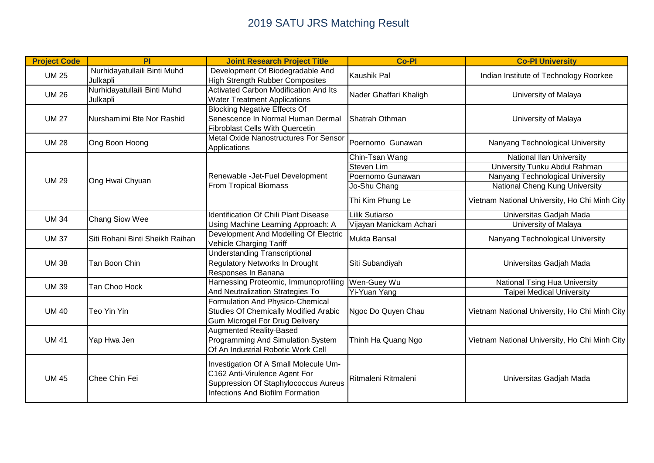| <b>Project Code</b> | PI                                       | <b>Joint Research Project Title</b>                                                                                                                       | <b>Co-Pl</b>                                                                         | <b>Co-PI University</b>                                                                                                                                                          |
|---------------------|------------------------------------------|-----------------------------------------------------------------------------------------------------------------------------------------------------------|--------------------------------------------------------------------------------------|----------------------------------------------------------------------------------------------------------------------------------------------------------------------------------|
| <b>UM 25</b>        | Nurhidayatullaili Binti Muhd<br>Julkapli | Development Of Biodegradable And<br><b>High Strength Rubber Composites</b>                                                                                | Kaushik Pal                                                                          | Indian Institute of Technology Roorkee                                                                                                                                           |
| <b>UM 26</b>        | Nurhidayatullaili Binti Muhd<br>Julkapli | <b>Activated Carbon Modification And Its</b><br><b>Water Treatment Applications</b>                                                                       | Nader Ghaffari Khaligh                                                               | University of Malaya                                                                                                                                                             |
| <b>UM 27</b>        | Nurshamimi Bte Nor Rashid                | <b>Blocking Negative Effects Of</b><br>Senescence In Normal Human Dermal<br><b>Fibroblast Cells With Quercetin</b>                                        | Shatrah Othman                                                                       | University of Malaya                                                                                                                                                             |
| <b>UM 28</b>        | Ong Boon Hoong                           | Metal Oxide Nanostructures For Sensor<br>Applications                                                                                                     | Poernomo Gunawan                                                                     | Nanyang Technological University                                                                                                                                                 |
| <b>UM 29</b>        | Ong Hwai Chyuan                          | Renewable - Jet-Fuel Development<br><b>From Tropical Biomass</b>                                                                                          | Chin-Tsan Wang<br>Steven Lim<br>Poernomo Gunawan<br>Jo-Shu Chang<br>Thi Kim Phung Le | National Ilan University<br>University Tunku Abdul Rahman<br>Nanyang Technological University<br>National Cheng Kung University<br>Vietnam National University, Ho Chi Minh City |
| <b>UM 34</b>        | Chang Siow Wee                           | <b>Identification Of Chili Plant Disease</b><br>Using Machine Learning Approach: A                                                                        | Lilik Sutiarso<br>Vijayan Manickam Achari                                            | Universitas Gadjah Mada<br>University of Malaya                                                                                                                                  |
| <b>UM 37</b>        | Siti Rohani Binti Sheikh Raihan          | Development And Modelling Of Electric<br>Vehicle Charging Tariff                                                                                          | Mukta Bansal                                                                         | Nanyang Technological University                                                                                                                                                 |
| <b>UM38</b>         | Tan Boon Chin                            | <b>Understanding Transcriptional</b><br><b>Regulatory Networks In Drought</b><br>Responses In Banana                                                      | Siti Subandiyah                                                                      | Universitas Gadjah Mada                                                                                                                                                          |
| <b>UM 39</b>        | Tan Choo Hock                            | Harnessing Proteomic, Immunoprofiling Wen-Guey Wu<br>And Neutralization Strategies To                                                                     |                                                                                      | <b>National Tsing Hua University</b>                                                                                                                                             |
| <b>UM 40</b>        | Teo Yin Yin                              | Formulation And Physico-Chemical<br><b>Studies Of Chemically Modified Arabic</b><br><b>Gum Microgel For Drug Delivery</b>                                 | Yi-Yuan Yang<br>Ngoc Do Quyen Chau                                                   | <b>Taipei Medical University</b><br>Vietnam National University, Ho Chi Minh City                                                                                                |
| <b>UM 41</b>        | Yap Hwa Jen                              | <b>Augmented Reality-Based</b><br>Programming And Simulation System<br>Of An Industrial Robotic Work Cell                                                 | Thinh Ha Quang Ngo                                                                   | Vietnam National University, Ho Chi Minh City                                                                                                                                    |
| <b>UM 45</b>        | <b>I</b> Chee Chin Fei                   | Investigation Of A Small Molecule Um-<br>C162 Anti-Virulence Agent For<br>Suppression Of Staphylococcus Aureus<br><b>Infections And Biofilm Formation</b> | Ritmaleni Ritmaleni                                                                  | Universitas Gadjah Mada                                                                                                                                                          |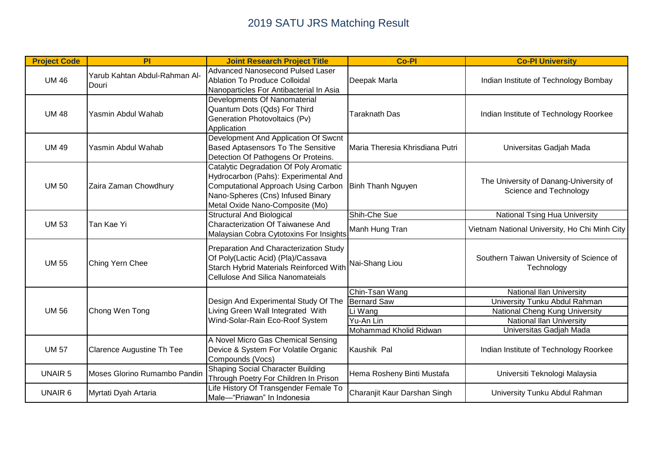| <b>Project Code</b> | PI                                     | <b>Joint Research Project Title</b>                                                                                                                                                           | <b>Co-Pl</b>                    | <b>Co-PI University</b>                                          |
|---------------------|----------------------------------------|-----------------------------------------------------------------------------------------------------------------------------------------------------------------------------------------------|---------------------------------|------------------------------------------------------------------|
| <b>UM 46</b>        | Yarub Kahtan Abdul-Rahman Al-<br>Douri | <b>Advanced Nanosecond Pulsed Laser</b><br><b>Ablation To Produce Colloidal</b><br>Nanoparticles For Antibacterial In Asia                                                                    | Deepak Marla                    | Indian Institute of Technology Bombay                            |
| <b>UM 48</b>        | Yasmin Abdul Wahab                     | Developments Of Nanomaterial<br>Quantum Dots (Qds) For Third<br>Generation Photovoltaics (Pv)<br>Application                                                                                  | <b>Taraknath Das</b>            | Indian Institute of Technology Roorkee                           |
| <b>UM 49</b>        | Yasmin Abdul Wahab                     | Development And Application Of Swcnt<br>Based Aptasensors To The Sensitive<br>Detection Of Pathogens Or Proteins.                                                                             | Maria Theresia Khrisdiana Putri | Universitas Gadjah Mada                                          |
| <b>UM 50</b>        | Zaira Zaman Chowdhury                  | Catalytic Degradation Of Poly Aromatic<br>Hydrocarbon (Pahs): Experimental And<br>Computational Approach Using Carbon<br>Nano-Spheres (Cns) Infused Binary<br>Metal Oxide Nano-Composite (Mo) | <b>Binh Thanh Nguyen</b>        | The University of Danang-University of<br>Science and Technology |
|                     |                                        | <b>Structural And Biological</b>                                                                                                                                                              | Shih-Che Sue                    | National Tsing Hua University                                    |
| <b>UM 53</b>        | Tan Kae Yi                             | <b>Characterization Of Taiwanese And</b><br>Malaysian Cobra Cytotoxins For Insights                                                                                                           | Manh Hung Tran                  | Vietnam National University, Ho Chi Minh City                    |
| <b>UM 55</b>        | Ching Yern Chee                        | Preparation And Characterization Study<br>Of Poly(Lactic Acid) (Pla)/Cassava<br>Starch Hybrid Materials Reinforced With<br><b>Cellulose And Silica Nanomateials</b>                           | Nai-Shang Liou                  | Southern Taiwan University of Science of<br>Technology           |
|                     |                                        |                                                                                                                                                                                               | Chin-Tsan Wang                  | National Ilan University                                         |
|                     | Chong Wen Tong                         | Design And Experimental Study Of The<br>Living Green Wall Integrated With<br>Wind-Solar-Rain Eco-Roof System                                                                                  | <b>Bernard Saw</b>              | University Tunku Abdul Rahman                                    |
| <b>UM 56</b>        |                                        |                                                                                                                                                                                               | Li Wang                         | National Cheng Kung University                                   |
|                     |                                        |                                                                                                                                                                                               | Yu-An Lin                       | National Ilan University                                         |
|                     |                                        |                                                                                                                                                                                               | Mohammad Kholid Ridwan          | Universitas Gadjah Mada                                          |
| <b>UM 57</b>        | <b>Clarence Augustine Th Tee</b>       | A Novel Micro Gas Chemical Sensing<br>Device & System For Volatile Organic<br>Compounds (Vocs)                                                                                                | Kaushik Pal                     | Indian Institute of Technology Roorkee                           |
| <b>UNAIR 5</b>      | Moses Glorino Rumambo Pandin           | <b>Shaping Social Character Building</b><br>Through Poetry For Children In Prison                                                                                                             | Hema Rosheny Binti Mustafa      | Universiti Teknologi Malaysia                                    |
| <b>UNAIR 6</b>      | Myrtati Dyah Artaria                   | Life History Of Transgender Female To<br>Male-"Priawan" In Indonesia                                                                                                                          | Charanjit Kaur Darshan Singh    | University Tunku Abdul Rahman                                    |